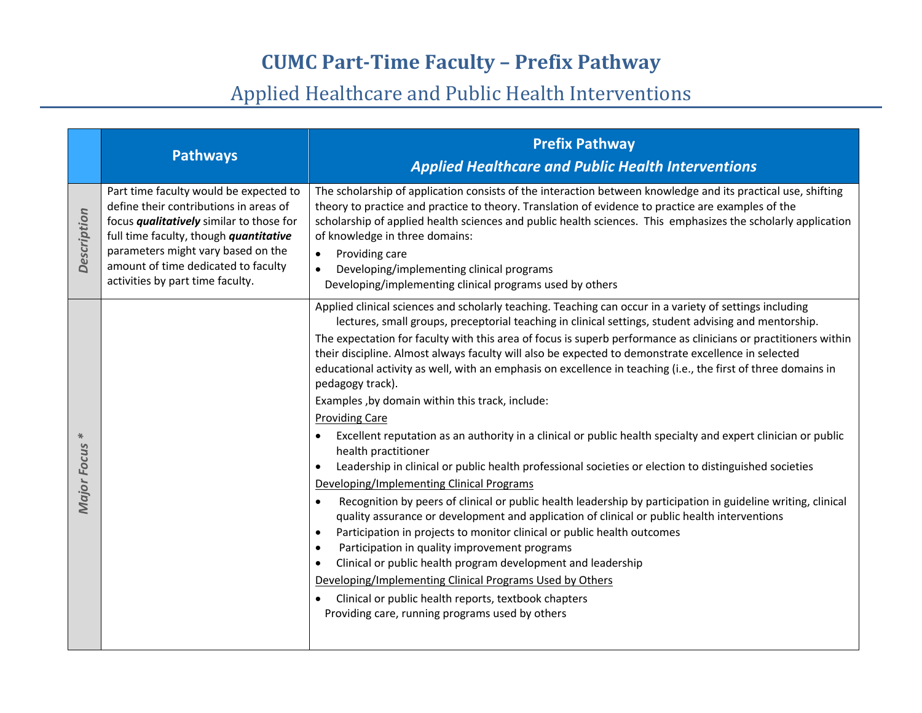|                         | <b>Pathways</b>                                                                                                                                                                                                                                                                                | <b>Prefix Pathway</b><br><b>Applied Healthcare and Public Health Interventions</b>                                                                                                                                                                                                                                                                                                                                                                                                                                                                                                                                                                                                                                                                                                                                                                                                                                                                                                                                                                                                                                                                                                                                                                                                                                                                                                                                                                                                                                                                                                                                       |
|-------------------------|------------------------------------------------------------------------------------------------------------------------------------------------------------------------------------------------------------------------------------------------------------------------------------------------|--------------------------------------------------------------------------------------------------------------------------------------------------------------------------------------------------------------------------------------------------------------------------------------------------------------------------------------------------------------------------------------------------------------------------------------------------------------------------------------------------------------------------------------------------------------------------------------------------------------------------------------------------------------------------------------------------------------------------------------------------------------------------------------------------------------------------------------------------------------------------------------------------------------------------------------------------------------------------------------------------------------------------------------------------------------------------------------------------------------------------------------------------------------------------------------------------------------------------------------------------------------------------------------------------------------------------------------------------------------------------------------------------------------------------------------------------------------------------------------------------------------------------------------------------------------------------------------------------------------------------|
| Description             | Part time faculty would be expected to<br>define their contributions in areas of<br>focus <i>qualitatively</i> similar to those for<br>full time faculty, though quantitative<br>parameters might vary based on the<br>amount of time dedicated to faculty<br>activities by part time faculty. | The scholarship of application consists of the interaction between knowledge and its practical use, shifting<br>theory to practice and practice to theory. Translation of evidence to practice are examples of the<br>scholarship of applied health sciences and public health sciences. This emphasizes the scholarly application<br>of knowledge in three domains:<br>Providing care<br>$\bullet$<br>Developing/implementing clinical programs<br>$\bullet$<br>Developing/implementing clinical programs used by others                                                                                                                                                                                                                                                                                                                                                                                                                                                                                                                                                                                                                                                                                                                                                                                                                                                                                                                                                                                                                                                                                                |
| ₩<br><b>Major Focus</b> |                                                                                                                                                                                                                                                                                                | Applied clinical sciences and scholarly teaching. Teaching can occur in a variety of settings including<br>lectures, small groups, preceptorial teaching in clinical settings, student advising and mentorship.<br>The expectation for faculty with this area of focus is superb performance as clinicians or practitioners within<br>their discipline. Almost always faculty will also be expected to demonstrate excellence in selected<br>educational activity as well, with an emphasis on excellence in teaching (i.e., the first of three domains in<br>pedagogy track).<br>Examples , by domain within this track, include:<br><b>Providing Care</b><br>Excellent reputation as an authority in a clinical or public health specialty and expert clinician or public<br>$\bullet$<br>health practitioner<br>Leadership in clinical or public health professional societies or election to distinguished societies<br>$\bullet$<br>Developing/Implementing Clinical Programs<br>Recognition by peers of clinical or public health leadership by participation in guideline writing, clinical<br>$\bullet$<br>quality assurance or development and application of clinical or public health interventions<br>Participation in projects to monitor clinical or public health outcomes<br>$\bullet$<br>Participation in quality improvement programs<br>$\bullet$<br>Clinical or public health program development and leadership<br>$\bullet$<br>Developing/Implementing Clinical Programs Used by Others<br>Clinical or public health reports, textbook chapters<br>Providing care, running programs used by others |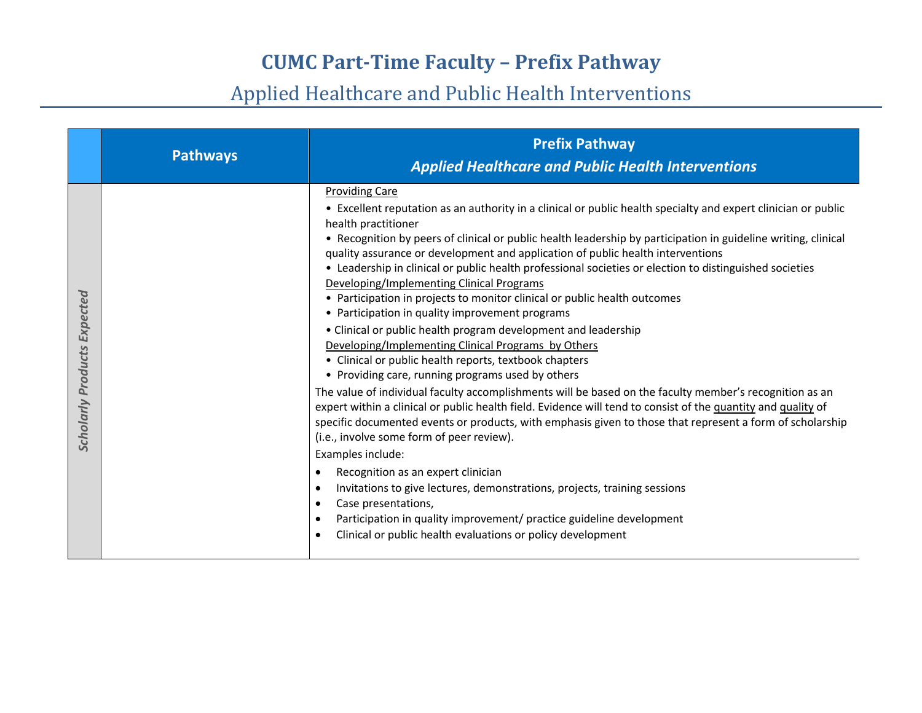|                                    | <b>Pathways</b> | <b>Prefix Pathway</b><br><b>Applied Healthcare and Public Health Interventions</b>                                                                                                                                                                                                                                                                                                                                                                                                                                                                                                                                                                                                                                                                                                                                                                                                                                                                                                                                                                                                                                                                                                                                                                                                                                                                                                                                                                                                                                                                                                                                                          |
|------------------------------------|-----------------|---------------------------------------------------------------------------------------------------------------------------------------------------------------------------------------------------------------------------------------------------------------------------------------------------------------------------------------------------------------------------------------------------------------------------------------------------------------------------------------------------------------------------------------------------------------------------------------------------------------------------------------------------------------------------------------------------------------------------------------------------------------------------------------------------------------------------------------------------------------------------------------------------------------------------------------------------------------------------------------------------------------------------------------------------------------------------------------------------------------------------------------------------------------------------------------------------------------------------------------------------------------------------------------------------------------------------------------------------------------------------------------------------------------------------------------------------------------------------------------------------------------------------------------------------------------------------------------------------------------------------------------------|
| <b>Scholarly Products Expected</b> |                 | <b>Providing Care</b><br>• Excellent reputation as an authority in a clinical or public health specialty and expert clinician or public<br>health practitioner<br>• Recognition by peers of clinical or public health leadership by participation in guideline writing, clinical<br>quality assurance or development and application of public health interventions<br>• Leadership in clinical or public health professional societies or election to distinguished societies<br>Developing/Implementing Clinical Programs<br>• Participation in projects to monitor clinical or public health outcomes<br>• Participation in quality improvement programs<br>• Clinical or public health program development and leadership<br>Developing/Implementing Clinical Programs by Others<br>• Clinical or public health reports, textbook chapters<br>• Providing care, running programs used by others<br>The value of individual faculty accomplishments will be based on the faculty member's recognition as an<br>expert within a clinical or public health field. Evidence will tend to consist of the quantity and quality of<br>specific documented events or products, with emphasis given to those that represent a form of scholarship<br>(i.e., involve some form of peer review).<br>Examples include:<br>Recognition as an expert clinician<br>$\bullet$<br>Invitations to give lectures, demonstrations, projects, training sessions<br>$\bullet$<br>Case presentations,<br>Participation in quality improvement/ practice guideline development<br>$\bullet$<br>Clinical or public health evaluations or policy development<br>٠ |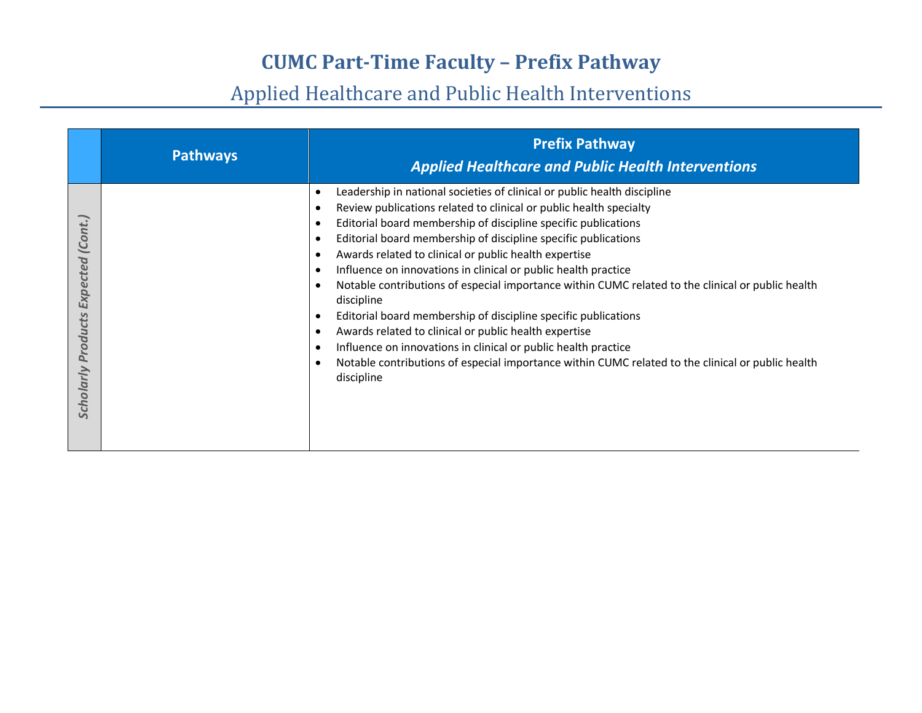|                                              | <b>Pathways</b> | <b>Prefix Pathway</b><br><b>Applied Healthcare and Public Health Interventions</b>                                                                                                                                                                                                                                                                                                                                                                                                                                                                                                                                                                                                                                                                                                                                                                                          |
|----------------------------------------------|-----------------|-----------------------------------------------------------------------------------------------------------------------------------------------------------------------------------------------------------------------------------------------------------------------------------------------------------------------------------------------------------------------------------------------------------------------------------------------------------------------------------------------------------------------------------------------------------------------------------------------------------------------------------------------------------------------------------------------------------------------------------------------------------------------------------------------------------------------------------------------------------------------------|
| (Cont.)<br>Expected<br>Products<br>Scholarly |                 | Leadership in national societies of clinical or public health discipline<br>Review publications related to clinical or public health specialty<br>Editorial board membership of discipline specific publications<br>Editorial board membership of discipline specific publications<br>Awards related to clinical or public health expertise<br>Influence on innovations in clinical or public health practice<br>Notable contributions of especial importance within CUMC related to the clinical or public health<br>$\epsilon$<br>discipline<br>Editorial board membership of discipline specific publications<br>$\bullet$<br>Awards related to clinical or public health expertise<br>Influence on innovations in clinical or public health practice<br>Notable contributions of especial importance within CUMC related to the clinical or public health<br>discipline |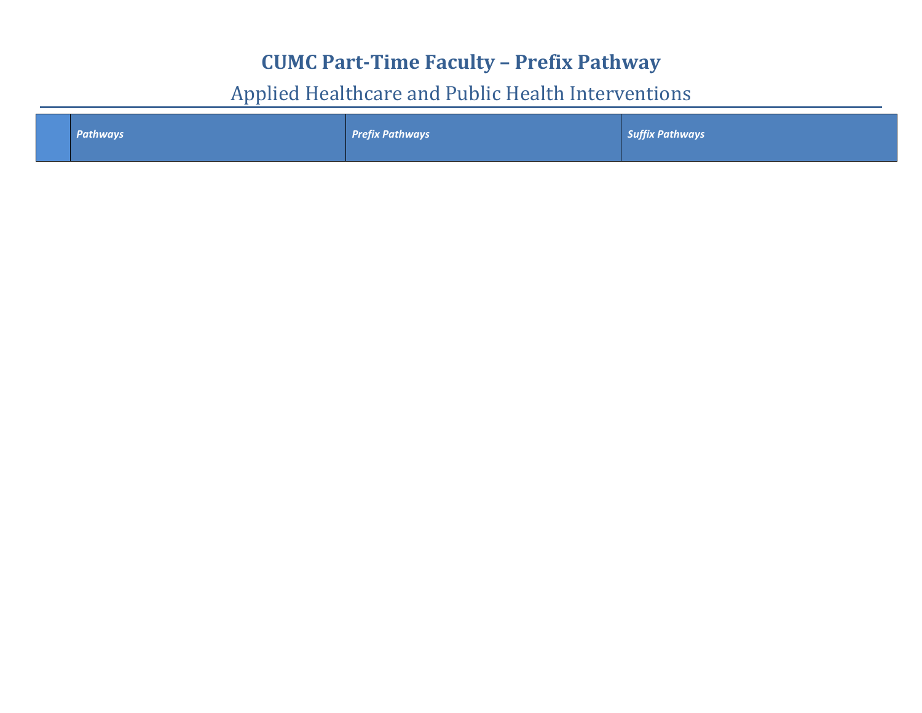|  | Pathways | <b>Prefix Pathways</b> | Suffix Pathways |
|--|----------|------------------------|-----------------|
|  |          |                        |                 |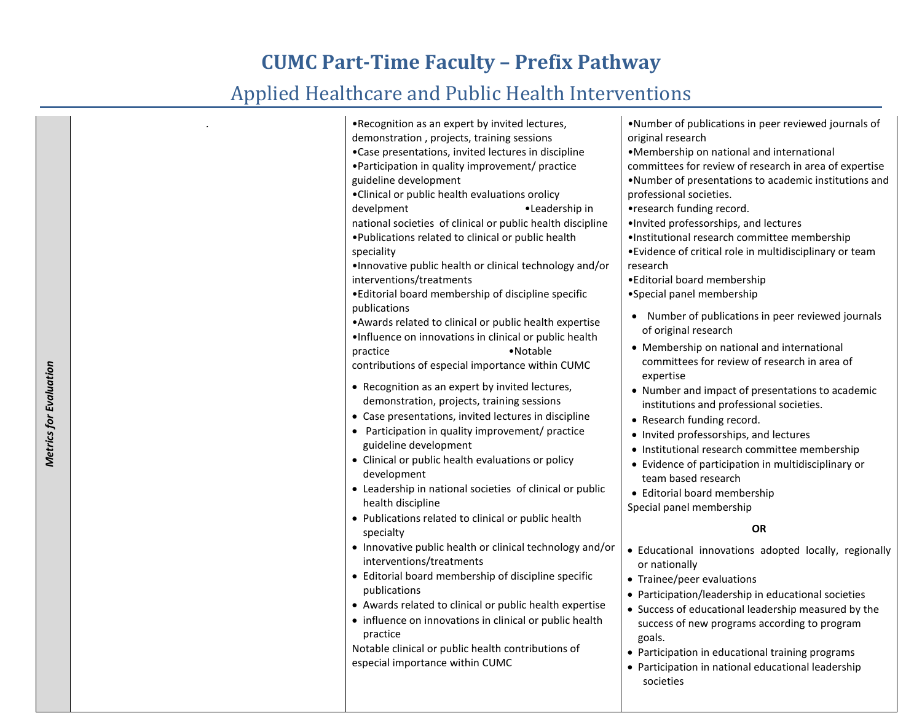#### Applied Healthcare and Public Health Interventions

| .Recognition as an expert by invited lectures,                   | . Number of publications in peer reviewed journals of    |
|------------------------------------------------------------------|----------------------------------------------------------|
| demonstration, projects, training sessions                       | original research                                        |
| •Case presentations, invited lectures in discipline              | •Membership on national and international                |
| • Participation in quality improvement/ practice                 | committees for review of research in area of expertise   |
| guideline development                                            | .Number of presentations to academic institutions and    |
| •Clinical or public health evaluations orolicy                   | professional societies.                                  |
| develpment<br>•Leadership in                                     | •research funding record.                                |
| national societies of clinical or public health discipline       | . Invited professorships, and lectures                   |
| . Publications related to clinical or public health              | ·Institutional research committee membership             |
| speciality                                                       | • Evidence of critical role in multidisciplinary or team |
| .Innovative public health or clinical technology and/or          | research                                                 |
| interventions/treatments                                         | •Editorial board membership                              |
| • Editorial board membership of discipline specific              | •Special panel membership                                |
| publications                                                     |                                                          |
| • Awards related to clinical or public health expertise          | Number of publications in peer reviewed journals         |
| .Influence on innovations in clinical or public health           | of original research                                     |
| •Notable<br>practice                                             | • Membership on national and international               |
| contributions of especial importance within CUMC                 | committees for review of research in area of             |
|                                                                  | expertise                                                |
| • Recognition as an expert by invited lectures,                  | • Number and impact of presentations to academic         |
| demonstration, projects, training sessions                       | institutions and professional societies.                 |
| • Case presentations, invited lectures in discipline             | • Research funding record.                               |
| • Participation in quality improvement/ practice                 | • Invited professorships, and lectures                   |
| guideline development                                            | • Institutional research committee membership            |
| • Clinical or public health evaluations or policy                | • Evidence of participation in multidisciplinary or      |
| development                                                      | team based research                                      |
| • Leadership in national societies of clinical or public         | • Editorial board membership                             |
| health discipline                                                | Special panel membership                                 |
| • Publications related to clinical or public health<br>specialty | <b>OR</b>                                                |
| • Innovative public health or clinical technology and/or         | · Educational innovations adopted locally, regionally    |
| interventions/treatments                                         | or nationally                                            |
| • Editorial board membership of discipline specific              | • Trainee/peer evaluations                               |
| publications                                                     | • Participation/leadership in educational societies      |
| • Awards related to clinical or public health expertise          | • Success of educational leadership measured by the      |
| • influence on innovations in clinical or public health          | success of new programs according to program             |
| practice                                                         | goals.                                                   |
| Notable clinical or public health contributions of               | • Participation in educational training programs         |
| especial importance within CUMC                                  | Darticipation in pational oducational loadership         |

• Participation in national educational leadership societies